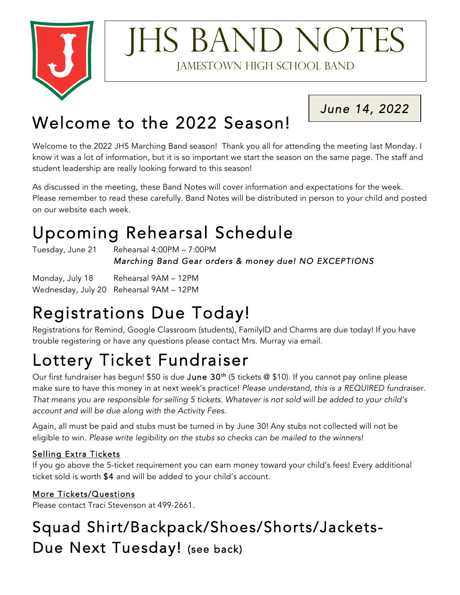

## **IHS BAND NOTES** Jamestown High School Band

*June 14, 2022* 

### Welcome to the 2022 Season!

Welcome to the 2022 JHS Marching Band season! Thank you all for attending the meeting last Monday. I know it was a lot of information, but it is so important we start the season on the same page. The staff and student leadership are really looking forward to this season!

As discussed in the meeting, these Band Notes will cover information and expectations for the week. Please remember to read these carefully. Band Notes will be distributed in person to your child and posted on our website each week.

## Upcoming Rehearsal Schedule<br>Tuesday, June 21 Rehearsal 4:00PM – 7:00PM

 *Marching Band Gear orders & money due! NO EXCEPTIONS* 

Monday, July 18 Rehearsal 9AM – 12PM Wednesday, July 20 Rehearsal 9AM – 12PM

# Registrations Due Today!<br>Registrations for Remind, Google Classroom (students), FamilyID and Charms are due today! If you have

trouble registering or have any questions please contact Mrs. Murray via email.

## Lottery Ticket Fundraiser has begun!  $\mathfrak{so}$  is due June 30<sup>th</sup> (5 tickets @ \$10). If you cannot pay online please

make sure to have this money in at next week's practice! *Please understand, this is a REQUIRED fundraiser. That means you are responsible for selling 5 tickets. Whatever is not sold will be added to your child's account and will be due along with the Activity Fees.*

Again, all must be paid and stubs must be turned in by June 30! Any stubs not collected will not be eligible to win. *Please write legibility on the stubs so checks can be mailed to the winners!*

#### Selling Extra Tickets

If you go above the 5-ticket requirement you can earn money toward your child's fees! Every additional ticket sold is worth \$4 and will be added to your child's account.

#### More Tickets/Questions

Please contact Traci Stevenson at 499-2661.

### Squad Shirt/Backpack/Shoes/Shorts/Jackets-Due Next Tuesday! (see back)